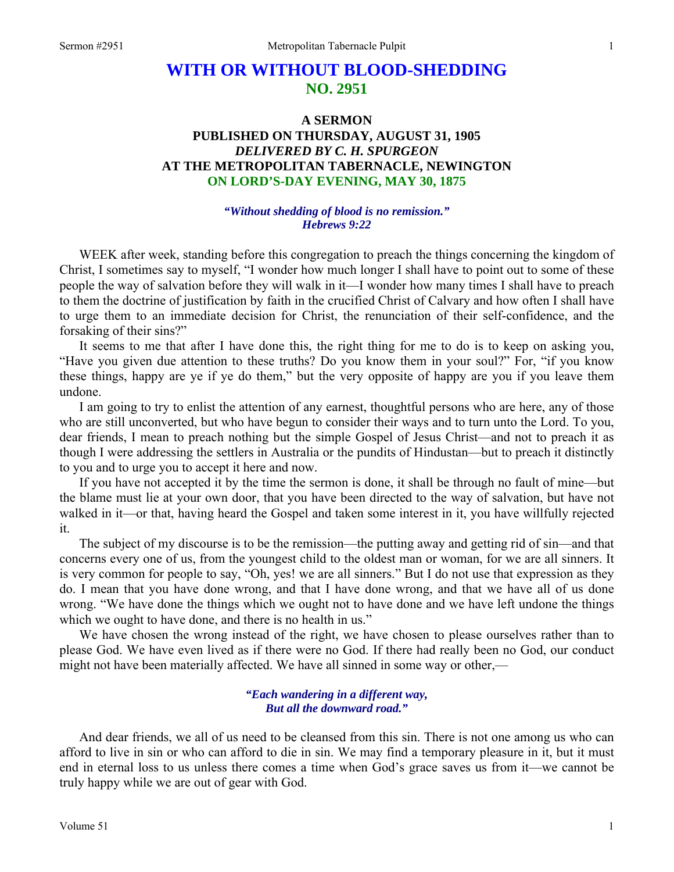# **WITH OR WITHOUT BLOOD-SHEDDING NO. 2951**

## **A SERMON PUBLISHED ON THURSDAY, AUGUST 31, 1905**  *DELIVERED BY C. H. SPURGEON*  **AT THE METROPOLITAN TABERNACLE, NEWINGTON ON LORD'S-DAY EVENING, MAY 30, 1875**

#### *"Without shedding of blood is no remission." Hebrews 9:22*

WEEK after week, standing before this congregation to preach the things concerning the kingdom of Christ, I sometimes say to myself, "I wonder how much longer I shall have to point out to some of these people the way of salvation before they will walk in it—I wonder how many times I shall have to preach to them the doctrine of justification by faith in the crucified Christ of Calvary and how often I shall have to urge them to an immediate decision for Christ, the renunciation of their self-confidence, and the forsaking of their sins?"

 It seems to me that after I have done this, the right thing for me to do is to keep on asking you, "Have you given due attention to these truths? Do you know them in your soul?" For, "if you know these things, happy are ye if ye do them," but the very opposite of happy are you if you leave them undone.

 I am going to try to enlist the attention of any earnest, thoughtful persons who are here, any of those who are still unconverted, but who have begun to consider their ways and to turn unto the Lord. To you, dear friends, I mean to preach nothing but the simple Gospel of Jesus Christ—and not to preach it as though I were addressing the settlers in Australia or the pundits of Hindustan—but to preach it distinctly to you and to urge you to accept it here and now.

 If you have not accepted it by the time the sermon is done, it shall be through no fault of mine—but the blame must lie at your own door, that you have been directed to the way of salvation, but have not walked in it—or that, having heard the Gospel and taken some interest in it, you have willfully rejected it.

 The subject of my discourse is to be the remission—the putting away and getting rid of sin—and that concerns every one of us, from the youngest child to the oldest man or woman, for we are all sinners. It is very common for people to say, "Oh, yes! we are all sinners." But I do not use that expression as they do. I mean that you have done wrong, and that I have done wrong, and that we have all of us done wrong. "We have done the things which we ought not to have done and we have left undone the things which we ought to have done, and there is no health in us."

 We have chosen the wrong instead of the right, we have chosen to please ourselves rather than to please God. We have even lived as if there were no God. If there had really been no God, our conduct might not have been materially affected. We have all sinned in some way or other,—

#### *"Each wandering in a different way, But all the downward road."*

 And dear friends, we all of us need to be cleansed from this sin. There is not one among us who can afford to live in sin or who can afford to die in sin. We may find a temporary pleasure in it, but it must end in eternal loss to us unless there comes a time when God's grace saves us from it—we cannot be truly happy while we are out of gear with God.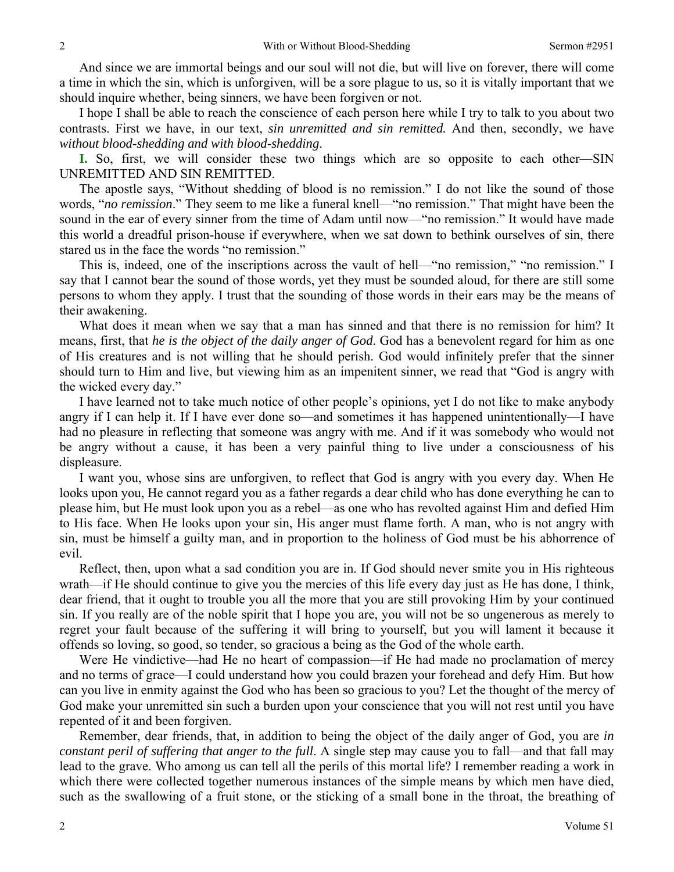And since we are immortal beings and our soul will not die, but will live on forever, there will come a time in which the sin, which is unforgiven, will be a sore plague to us, so it is vitally important that we should inquire whether, being sinners, we have been forgiven or not.

 I hope I shall be able to reach the conscience of each person here while I try to talk to you about two contrasts. First we have, in our text, *sin unremitted and sin remitted.* And then, secondly, we have *without blood-shedding and with blood-shedding*.

**I.** So, first, we will consider these two things which are so opposite to each other—SIN UNREMITTED AND SIN REMITTED.

 The apostle says, "Without shedding of blood is no remission." I do not like the sound of those words, "*no remission*." They seem to me like a funeral knell—"no remission." That might have been the sound in the ear of every sinner from the time of Adam until now—"no remission." It would have made this world a dreadful prison-house if everywhere, when we sat down to bethink ourselves of sin, there stared us in the face the words "no remission."

 This is, indeed, one of the inscriptions across the vault of hell—"no remission," "no remission." I say that I cannot bear the sound of those words, yet they must be sounded aloud, for there are still some persons to whom they apply. I trust that the sounding of those words in their ears may be the means of their awakening.

 What does it mean when we say that a man has sinned and that there is no remission for him? It means, first, that *he is the object of the daily anger of God*. God has a benevolent regard for him as one of His creatures and is not willing that he should perish. God would infinitely prefer that the sinner should turn to Him and live, but viewing him as an impenitent sinner, we read that "God is angry with the wicked every day."

 I have learned not to take much notice of other people's opinions, yet I do not like to make anybody angry if I can help it. If I have ever done so—and sometimes it has happened unintentionally—I have had no pleasure in reflecting that someone was angry with me. And if it was somebody who would not be angry without a cause, it has been a very painful thing to live under a consciousness of his displeasure.

 I want you, whose sins are unforgiven, to reflect that God is angry with you every day. When He looks upon you, He cannot regard you as a father regards a dear child who has done everything he can to please him, but He must look upon you as a rebel—as one who has revolted against Him and defied Him to His face. When He looks upon your sin, His anger must flame forth. A man, who is not angry with sin, must be himself a guilty man, and in proportion to the holiness of God must be his abhorrence of evil.

 Reflect, then, upon what a sad condition you are in. If God should never smite you in His righteous wrath—if He should continue to give you the mercies of this life every day just as He has done, I think, dear friend, that it ought to trouble you all the more that you are still provoking Him by your continued sin. If you really are of the noble spirit that I hope you are, you will not be so ungenerous as merely to regret your fault because of the suffering it will bring to yourself, but you will lament it because it offends so loving, so good, so tender, so gracious a being as the God of the whole earth.

 Were He vindictive—had He no heart of compassion—if He had made no proclamation of mercy and no terms of grace—I could understand how you could brazen your forehead and defy Him. But how can you live in enmity against the God who has been so gracious to you? Let the thought of the mercy of God make your unremitted sin such a burden upon your conscience that you will not rest until you have repented of it and been forgiven.

 Remember, dear friends, that, in addition to being the object of the daily anger of God, you are *in constant peril of suffering that anger to the full*. A single step may cause you to fall—and that fall may lead to the grave. Who among us can tell all the perils of this mortal life? I remember reading a work in which there were collected together numerous instances of the simple means by which men have died, such as the swallowing of a fruit stone, or the sticking of a small bone in the throat, the breathing of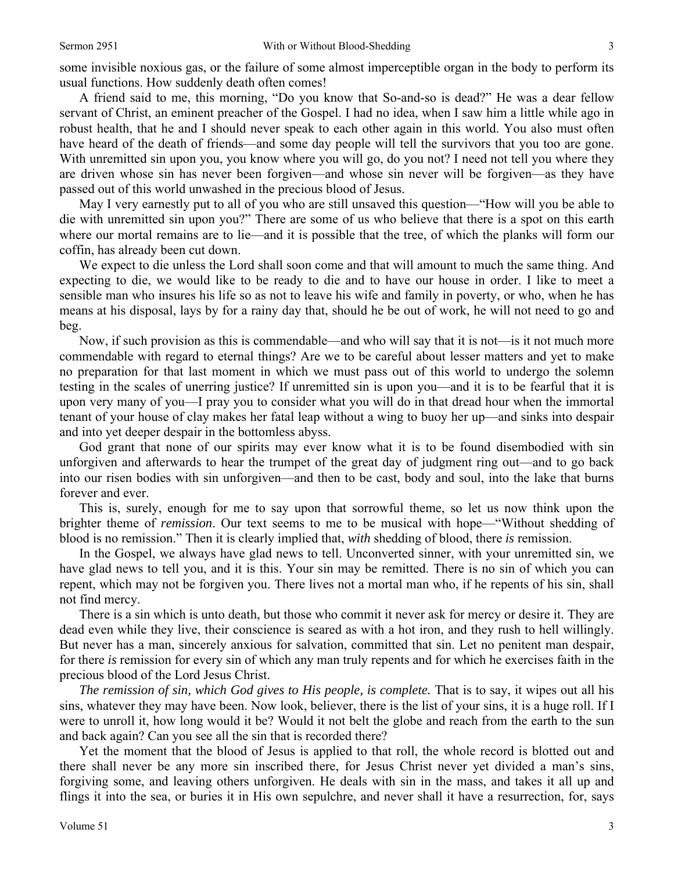some invisible noxious gas, or the failure of some almost imperceptible organ in the body to perform its usual functions. How suddenly death often comes!

 A friend said to me, this morning, "Do you know that So-and-so is dead?" He was a dear fellow servant of Christ, an eminent preacher of the Gospel. I had no idea, when I saw him a little while ago in robust health, that he and I should never speak to each other again in this world. You also must often have heard of the death of friends—and some day people will tell the survivors that you too are gone. With unremitted sin upon you, you know where you will go, do you not? I need not tell you where they are driven whose sin has never been forgiven—and whose sin never will be forgiven—as they have passed out of this world unwashed in the precious blood of Jesus.

 May I very earnestly put to all of you who are still unsaved this question—"How will you be able to die with unremitted sin upon you?" There are some of us who believe that there is a spot on this earth where our mortal remains are to lie—and it is possible that the tree, of which the planks will form our coffin, has already been cut down.

 We expect to die unless the Lord shall soon come and that will amount to much the same thing. And expecting to die, we would like to be ready to die and to have our house in order. I like to meet a sensible man who insures his life so as not to leave his wife and family in poverty, or who, when he has means at his disposal, lays by for a rainy day that, should he be out of work, he will not need to go and beg.

 Now, if such provision as this is commendable—and who will say that it is not—is it not much more commendable with regard to eternal things? Are we to be careful about lesser matters and yet to make no preparation for that last moment in which we must pass out of this world to undergo the solemn testing in the scales of unerring justice? If unremitted sin is upon you—and it is to be fearful that it is upon very many of you—I pray you to consider what you will do in that dread hour when the immortal tenant of your house of clay makes her fatal leap without a wing to buoy her up—and sinks into despair and into yet deeper despair in the bottomless abyss.

 God grant that none of our spirits may ever know what it is to be found disembodied with sin unforgiven and afterwards to hear the trumpet of the great day of judgment ring out—and to go back into our risen bodies with sin unforgiven—and then to be cast, body and soul, into the lake that burns forever and ever.

 This is, surely, enough for me to say upon that sorrowful theme, so let us now think upon the brighter theme of *remission*. Our text seems to me to be musical with hope—"Without shedding of blood is no remission." Then it is clearly implied that, *with* shedding of blood, there *is* remission.

 In the Gospel, we always have glad news to tell. Unconverted sinner, with your unremitted sin, we have glad news to tell you, and it is this. Your sin may be remitted. There is no sin of which you can repent, which may not be forgiven you. There lives not a mortal man who, if he repents of his sin, shall not find mercy.

 There is a sin which is unto death, but those who commit it never ask for mercy or desire it. They are dead even while they live, their conscience is seared as with a hot iron, and they rush to hell willingly. But never has a man, sincerely anxious for salvation, committed that sin. Let no penitent man despair, for there *is* remission for every sin of which any man truly repents and for which he exercises faith in the precious blood of the Lord Jesus Christ.

*The remission of sin, which God gives to His people, is complete.* That is to say, it wipes out all his sins, whatever they may have been. Now look, believer, there is the list of your sins, it is a huge roll. If I were to unroll it, how long would it be? Would it not belt the globe and reach from the earth to the sun and back again? Can you see all the sin that is recorded there?

 Yet the moment that the blood of Jesus is applied to that roll, the whole record is blotted out and there shall never be any more sin inscribed there, for Jesus Christ never yet divided a man's sins, forgiving some, and leaving others unforgiven. He deals with sin in the mass, and takes it all up and flings it into the sea, or buries it in His own sepulchre, and never shall it have a resurrection, for, says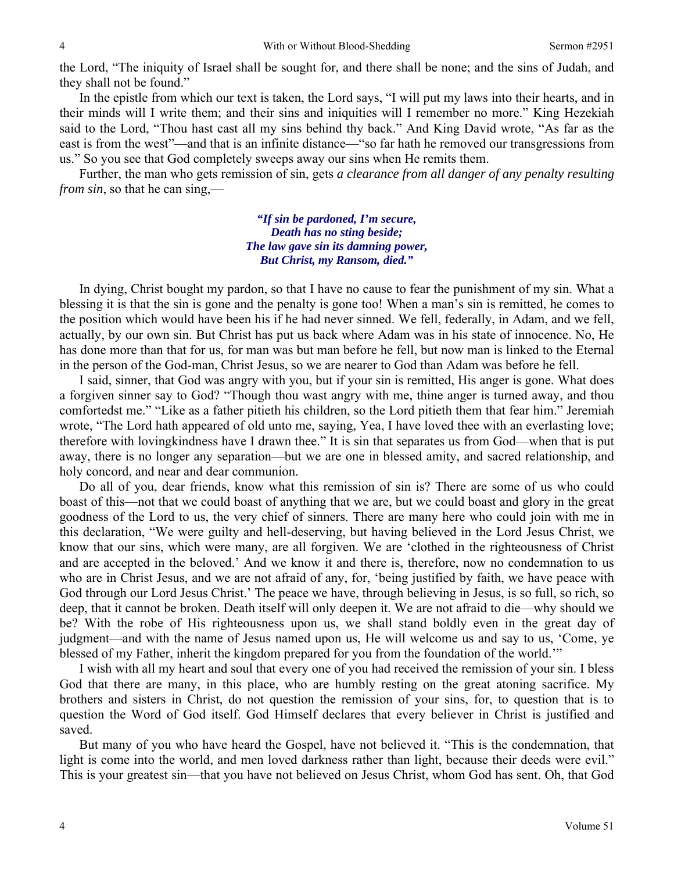the Lord, "The iniquity of Israel shall be sought for, and there shall be none; and the sins of Judah, and they shall not be found."

 In the epistle from which our text is taken, the Lord says, "I will put my laws into their hearts, and in their minds will I write them; and their sins and iniquities will I remember no more." King Hezekiah said to the Lord, "Thou hast cast all my sins behind thy back." And King David wrote, "As far as the east is from the west"—and that is an infinite distance—"so far hath he removed our transgressions from us." So you see that God completely sweeps away our sins when He remits them.

 Further, the man who gets remission of sin, gets *a clearance from all danger of any penalty resulting from sin*, so that he can sing,—

> *"If sin be pardoned, I'm secure, Death has no sting beside; The law gave sin its damning power, But Christ, my Ransom, died."*

 In dying, Christ bought my pardon, so that I have no cause to fear the punishment of my sin. What a blessing it is that the sin is gone and the penalty is gone too! When a man's sin is remitted, he comes to the position which would have been his if he had never sinned. We fell, federally, in Adam, and we fell, actually, by our own sin. But Christ has put us back where Adam was in his state of innocence. No, He has done more than that for us, for man was but man before he fell, but now man is linked to the Eternal in the person of the God-man, Christ Jesus, so we are nearer to God than Adam was before he fell.

 I said, sinner, that God was angry with you, but if your sin is remitted, His anger is gone. What does a forgiven sinner say to God? "Though thou wast angry with me, thine anger is turned away, and thou comfortedst me." "Like as a father pitieth his children, so the Lord pitieth them that fear him." Jeremiah wrote, "The Lord hath appeared of old unto me, saying, Yea, I have loved thee with an everlasting love; therefore with lovingkindness have I drawn thee." It is sin that separates us from God—when that is put away, there is no longer any separation—but we are one in blessed amity, and sacred relationship, and holy concord, and near and dear communion.

 Do all of you, dear friends, know what this remission of sin is? There are some of us who could boast of this—not that we could boast of anything that we are, but we could boast and glory in the great goodness of the Lord to us, the very chief of sinners. There are many here who could join with me in this declaration, "We were guilty and hell-deserving, but having believed in the Lord Jesus Christ, we know that our sins, which were many, are all forgiven. We are 'clothed in the righteousness of Christ and are accepted in the beloved.' And we know it and there is, therefore, now no condemnation to us who are in Christ Jesus, and we are not afraid of any, for, 'being justified by faith, we have peace with God through our Lord Jesus Christ.' The peace we have, through believing in Jesus, is so full, so rich, so deep, that it cannot be broken. Death itself will only deepen it. We are not afraid to die—why should we be? With the robe of His righteousness upon us, we shall stand boldly even in the great day of judgment—and with the name of Jesus named upon us, He will welcome us and say to us, 'Come, ye blessed of my Father, inherit the kingdom prepared for you from the foundation of the world.'"

 I wish with all my heart and soul that every one of you had received the remission of your sin. I bless God that there are many, in this place, who are humbly resting on the great atoning sacrifice. My brothers and sisters in Christ, do not question the remission of your sins, for, to question that is to question the Word of God itself. God Himself declares that every believer in Christ is justified and saved.

 But many of you who have heard the Gospel, have not believed it. "This is the condemnation, that light is come into the world, and men loved darkness rather than light, because their deeds were evil." This is your greatest sin—that you have not believed on Jesus Christ, whom God has sent. Oh, that God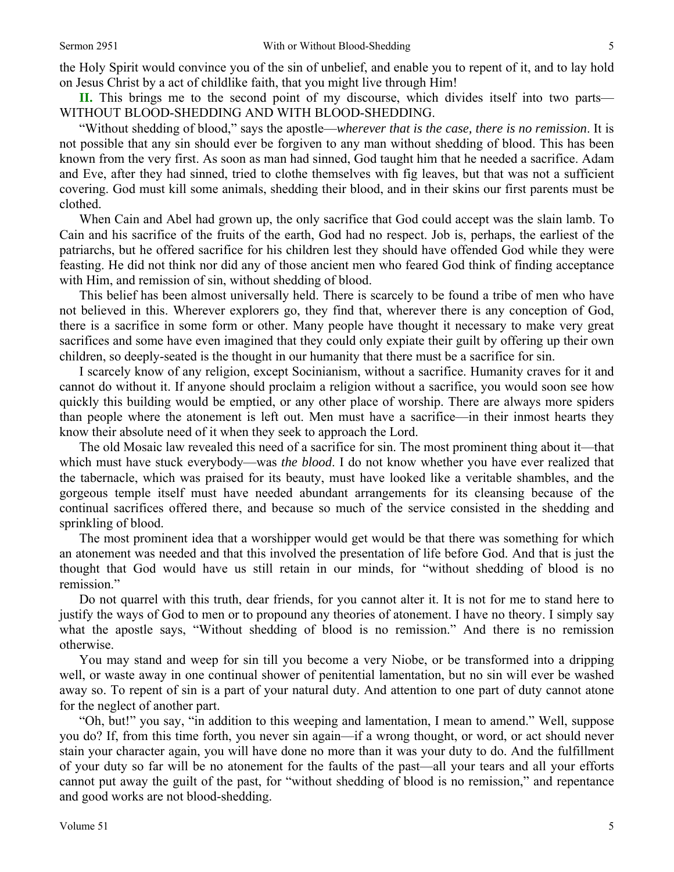the Holy Spirit would convince you of the sin of unbelief, and enable you to repent of it, and to lay hold on Jesus Christ by a act of childlike faith, that you might live through Him!

**II.** This brings me to the second point of my discourse, which divides itself into two parts— WITHOUT BLOOD-SHEDDING AND WITH BLOOD-SHEDDING.

 "Without shedding of blood," says the apostle—*wherever that is the case, there is no remission*. It is not possible that any sin should ever be forgiven to any man without shedding of blood. This has been known from the very first. As soon as man had sinned, God taught him that he needed a sacrifice. Adam and Eve, after they had sinned, tried to clothe themselves with fig leaves, but that was not a sufficient covering. God must kill some animals, shedding their blood, and in their skins our first parents must be clothed.

 When Cain and Abel had grown up, the only sacrifice that God could accept was the slain lamb. To Cain and his sacrifice of the fruits of the earth, God had no respect. Job is, perhaps, the earliest of the patriarchs, but he offered sacrifice for his children lest they should have offended God while they were feasting. He did not think nor did any of those ancient men who feared God think of finding acceptance with Him, and remission of sin, without shedding of blood.

 This belief has been almost universally held. There is scarcely to be found a tribe of men who have not believed in this. Wherever explorers go, they find that, wherever there is any conception of God, there is a sacrifice in some form or other. Many people have thought it necessary to make very great sacrifices and some have even imagined that they could only expiate their guilt by offering up their own children, so deeply-seated is the thought in our humanity that there must be a sacrifice for sin.

 I scarcely know of any religion, except Socinianism, without a sacrifice. Humanity craves for it and cannot do without it. If anyone should proclaim a religion without a sacrifice, you would soon see how quickly this building would be emptied, or any other place of worship. There are always more spiders than people where the atonement is left out. Men must have a sacrifice—in their inmost hearts they know their absolute need of it when they seek to approach the Lord.

 The old Mosaic law revealed this need of a sacrifice for sin. The most prominent thing about it—that which must have stuck everybody—was *the blood*. I do not know whether you have ever realized that the tabernacle, which was praised for its beauty, must have looked like a veritable shambles, and the gorgeous temple itself must have needed abundant arrangements for its cleansing because of the continual sacrifices offered there, and because so much of the service consisted in the shedding and sprinkling of blood.

 The most prominent idea that a worshipper would get would be that there was something for which an atonement was needed and that this involved the presentation of life before God. And that is just the thought that God would have us still retain in our minds, for "without shedding of blood is no remission."

 Do not quarrel with this truth, dear friends, for you cannot alter it. It is not for me to stand here to justify the ways of God to men or to propound any theories of atonement. I have no theory. I simply say what the apostle says, "Without shedding of blood is no remission." And there is no remission otherwise.

 You may stand and weep for sin till you become a very Niobe, or be transformed into a dripping well, or waste away in one continual shower of penitential lamentation, but no sin will ever be washed away so. To repent of sin is a part of your natural duty. And attention to one part of duty cannot atone for the neglect of another part.

 "Oh, but!" you say, "in addition to this weeping and lamentation, I mean to amend." Well, suppose you do? If, from this time forth, you never sin again—if a wrong thought, or word, or act should never stain your character again, you will have done no more than it was your duty to do. And the fulfillment of your duty so far will be no atonement for the faults of the past—all your tears and all your efforts cannot put away the guilt of the past, for "without shedding of blood is no remission," and repentance and good works are not blood-shedding.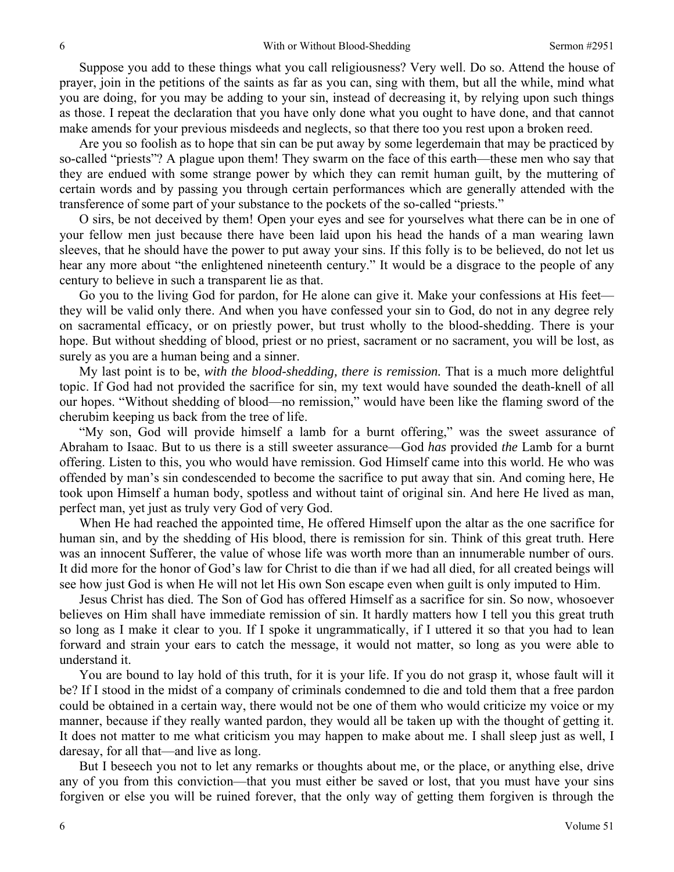Suppose you add to these things what you call religiousness? Very well. Do so. Attend the house of prayer, join in the petitions of the saints as far as you can, sing with them, but all the while, mind what you are doing, for you may be adding to your sin, instead of decreasing it, by relying upon such things as those. I repeat the declaration that you have only done what you ought to have done, and that cannot make amends for your previous misdeeds and neglects, so that there too you rest upon a broken reed.

 Are you so foolish as to hope that sin can be put away by some legerdemain that may be practiced by so-called "priests"? A plague upon them! They swarm on the face of this earth—these men who say that they are endued with some strange power by which they can remit human guilt, by the muttering of certain words and by passing you through certain performances which are generally attended with the transference of some part of your substance to the pockets of the so-called "priests."

 O sirs, be not deceived by them! Open your eyes and see for yourselves what there can be in one of your fellow men just because there have been laid upon his head the hands of a man wearing lawn sleeves, that he should have the power to put away your sins. If this folly is to be believed, do not let us hear any more about "the enlightened nineteenth century." It would be a disgrace to the people of any century to believe in such a transparent lie as that.

 Go you to the living God for pardon, for He alone can give it. Make your confessions at His feet they will be valid only there. And when you have confessed your sin to God, do not in any degree rely on sacramental efficacy, or on priestly power, but trust wholly to the blood-shedding. There is your hope. But without shedding of blood, priest or no priest, sacrament or no sacrament, you will be lost, as surely as you are a human being and a sinner.

 My last point is to be, *with the blood-shedding, there is remission.* That is a much more delightful topic. If God had not provided the sacrifice for sin, my text would have sounded the death-knell of all our hopes. "Without shedding of blood—no remission," would have been like the flaming sword of the cherubim keeping us back from the tree of life.

 "My son, God will provide himself a lamb for a burnt offering," was the sweet assurance of Abraham to Isaac. But to us there is a still sweeter assurance—God *has* provided *the* Lamb for a burnt offering. Listen to this, you who would have remission. God Himself came into this world. He who was offended by man's sin condescended to become the sacrifice to put away that sin. And coming here, He took upon Himself a human body, spotless and without taint of original sin. And here He lived as man, perfect man, yet just as truly very God of very God.

 When He had reached the appointed time, He offered Himself upon the altar as the one sacrifice for human sin, and by the shedding of His blood, there is remission for sin. Think of this great truth. Here was an innocent Sufferer, the value of whose life was worth more than an innumerable number of ours. It did more for the honor of God's law for Christ to die than if we had all died, for all created beings will see how just God is when He will not let His own Son escape even when guilt is only imputed to Him.

 Jesus Christ has died. The Son of God has offered Himself as a sacrifice for sin. So now, whosoever believes on Him shall have immediate remission of sin. It hardly matters how I tell you this great truth so long as I make it clear to you. If I spoke it ungrammatically, if I uttered it so that you had to lean forward and strain your ears to catch the message, it would not matter, so long as you were able to understand it.

 You are bound to lay hold of this truth, for it is your life. If you do not grasp it, whose fault will it be? If I stood in the midst of a company of criminals condemned to die and told them that a free pardon could be obtained in a certain way, there would not be one of them who would criticize my voice or my manner, because if they really wanted pardon, they would all be taken up with the thought of getting it. It does not matter to me what criticism you may happen to make about me. I shall sleep just as well, I daresay, for all that—and live as long.

 But I beseech you not to let any remarks or thoughts about me, or the place, or anything else, drive any of you from this conviction—that you must either be saved or lost, that you must have your sins forgiven or else you will be ruined forever, that the only way of getting them forgiven is through the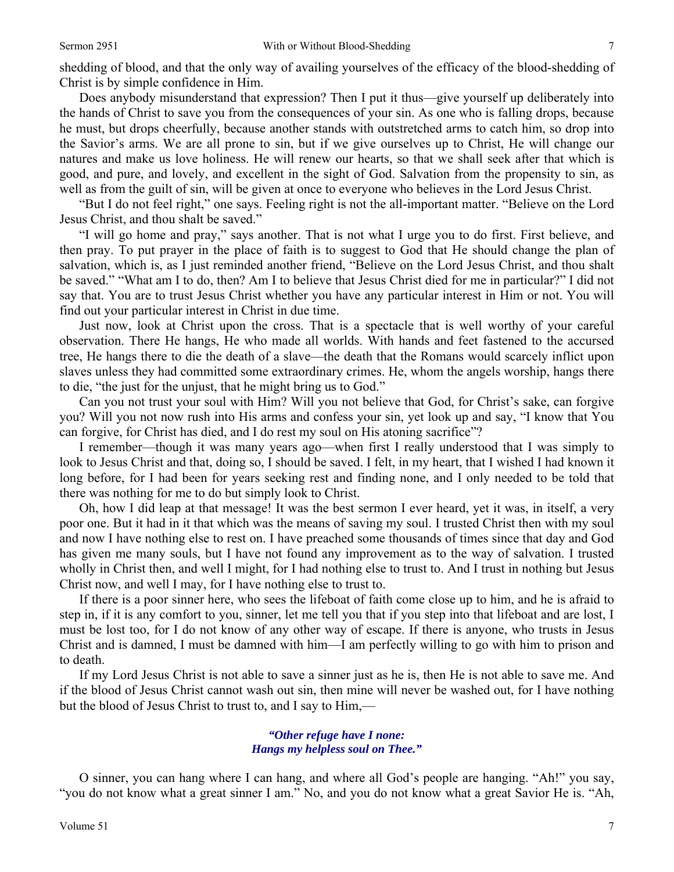shedding of blood, and that the only way of availing yourselves of the efficacy of the blood-shedding of Christ is by simple confidence in Him.

 Does anybody misunderstand that expression? Then I put it thus—give yourself up deliberately into the hands of Christ to save you from the consequences of your sin. As one who is falling drops, because he must, but drops cheerfully, because another stands with outstretched arms to catch him, so drop into the Savior's arms. We are all prone to sin, but if we give ourselves up to Christ, He will change our natures and make us love holiness. He will renew our hearts, so that we shall seek after that which is good, and pure, and lovely, and excellent in the sight of God. Salvation from the propensity to sin, as well as from the guilt of sin, will be given at once to everyone who believes in the Lord Jesus Christ.

 "But I do not feel right," one says. Feeling right is not the all-important matter. "Believe on the Lord Jesus Christ, and thou shalt be saved."

 "I will go home and pray," says another. That is not what I urge you to do first. First believe, and then pray. To put prayer in the place of faith is to suggest to God that He should change the plan of salvation, which is, as I just reminded another friend, "Believe on the Lord Jesus Christ, and thou shalt be saved." "What am I to do, then? Am I to believe that Jesus Christ died for me in particular?" I did not say that. You are to trust Jesus Christ whether you have any particular interest in Him or not. You will find out your particular interest in Christ in due time.

 Just now, look at Christ upon the cross. That is a spectacle that is well worthy of your careful observation. There He hangs, He who made all worlds. With hands and feet fastened to the accursed tree, He hangs there to die the death of a slave—the death that the Romans would scarcely inflict upon slaves unless they had committed some extraordinary crimes. He, whom the angels worship, hangs there to die, "the just for the unjust, that he might bring us to God."

 Can you not trust your soul with Him? Will you not believe that God, for Christ's sake, can forgive you? Will you not now rush into His arms and confess your sin, yet look up and say, "I know that You can forgive, for Christ has died, and I do rest my soul on His atoning sacrifice"?

 I remember—though it was many years ago—when first I really understood that I was simply to look to Jesus Christ and that, doing so, I should be saved. I felt, in my heart, that I wished I had known it long before, for I had been for years seeking rest and finding none, and I only needed to be told that there was nothing for me to do but simply look to Christ.

 Oh, how I did leap at that message! It was the best sermon I ever heard, yet it was, in itself, a very poor one. But it had in it that which was the means of saving my soul. I trusted Christ then with my soul and now I have nothing else to rest on. I have preached some thousands of times since that day and God has given me many souls, but I have not found any improvement as to the way of salvation. I trusted wholly in Christ then, and well I might, for I had nothing else to trust to. And I trust in nothing but Jesus Christ now, and well I may, for I have nothing else to trust to.

 If there is a poor sinner here, who sees the lifeboat of faith come close up to him, and he is afraid to step in, if it is any comfort to you, sinner, let me tell you that if you step into that lifeboat and are lost, I must be lost too, for I do not know of any other way of escape. If there is anyone, who trusts in Jesus Christ and is damned, I must be damned with him—I am perfectly willing to go with him to prison and to death.

 If my Lord Jesus Christ is not able to save a sinner just as he is, then He is not able to save me. And if the blood of Jesus Christ cannot wash out sin, then mine will never be washed out, for I have nothing but the blood of Jesus Christ to trust to, and I say to Him,—

#### *"Other refuge have I none: Hangs my helpless soul on Thee."*

 O sinner, you can hang where I can hang, and where all God's people are hanging. "Ah!" you say, "you do not know what a great sinner I am." No, and you do not know what a great Savior He is. "Ah,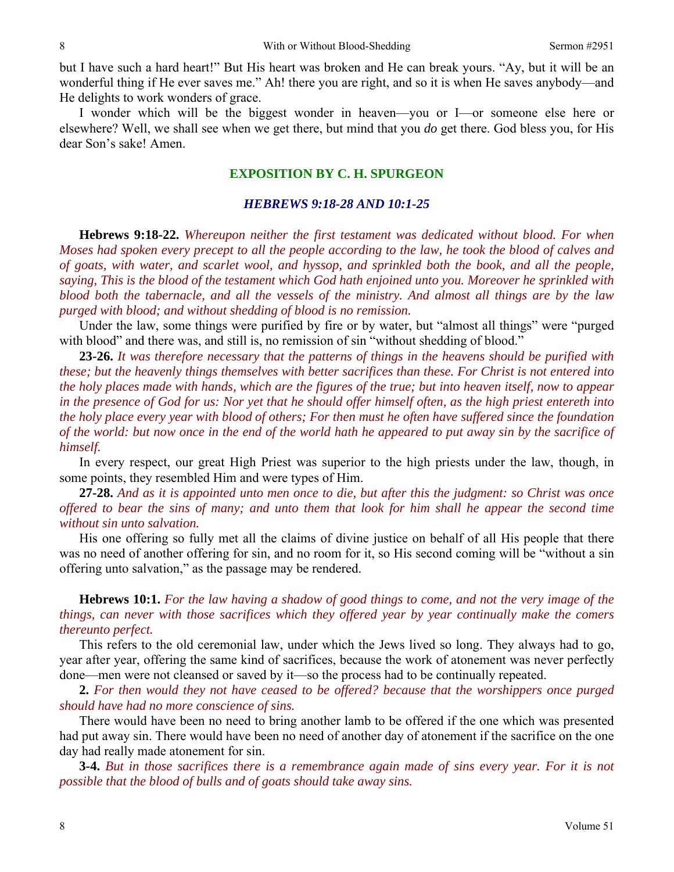but I have such a hard heart!" But His heart was broken and He can break yours. "Ay, but it will be an wonderful thing if He ever saves me." Ah! there you are right, and so it is when He saves anybody—and He delights to work wonders of grace.

 I wonder which will be the biggest wonder in heaven—you or I—or someone else here or elsewhere? Well, we shall see when we get there, but mind that you *do* get there. God bless you, for His dear Son's sake! Amen.

### **EXPOSITION BY C. H. SPURGEON**

#### *HEBREWS 9:18-28 AND 10:1-25*

**Hebrews 9:18-22.** *Whereupon neither the first testament was dedicated without blood. For when Moses had spoken every precept to all the people according to the law, he took the blood of calves and of goats, with water, and scarlet wool, and hyssop, and sprinkled both the book, and all the people, saying, This is the blood of the testament which God hath enjoined unto you. Moreover he sprinkled with blood both the tabernacle, and all the vessels of the ministry. And almost all things are by the law purged with blood; and without shedding of blood is no remission.* 

Under the law, some things were purified by fire or by water, but "almost all things" were "purged with blood" and there was, and still is, no remission of sin "without shedding of blood."

**23-26.** *It was therefore necessary that the patterns of things in the heavens should be purified with these; but the heavenly things themselves with better sacrifices than these. For Christ is not entered into the holy places made with hands, which are the figures of the true; but into heaven itself, now to appear in the presence of God for us: Nor yet that he should offer himself often, as the high priest entereth into the holy place every year with blood of others; For then must he often have suffered since the foundation of the world: but now once in the end of the world hath he appeared to put away sin by the sacrifice of himself.* 

In every respect, our great High Priest was superior to the high priests under the law, though, in some points, they resembled Him and were types of Him.

**27-28.** *And as it is appointed unto men once to die, but after this the judgment: so Christ was once offered to bear the sins of many; and unto them that look for him shall he appear the second time without sin unto salvation.* 

His one offering so fully met all the claims of divine justice on behalf of all His people that there was no need of another offering for sin, and no room for it, so His second coming will be "without a sin offering unto salvation," as the passage may be rendered.

**Hebrews 10:1.** *For the law having a shadow of good things to come, and not the very image of the things, can never with those sacrifices which they offered year by year continually make the comers thereunto perfect.* 

This refers to the old ceremonial law, under which the Jews lived so long. They always had to go, year after year, offering the same kind of sacrifices, because the work of atonement was never perfectly done—men were not cleansed or saved by it—so the process had to be continually repeated.

**2.** *For then would they not have ceased to be offered? because that the worshippers once purged should have had no more conscience of sins.* 

There would have been no need to bring another lamb to be offered if the one which was presented had put away sin. There would have been no need of another day of atonement if the sacrifice on the one day had really made atonement for sin.

**3-4.** *But in those sacrifices there is a remembrance again made of sins every year. For it is not possible that the blood of bulls and of goats should take away sins.*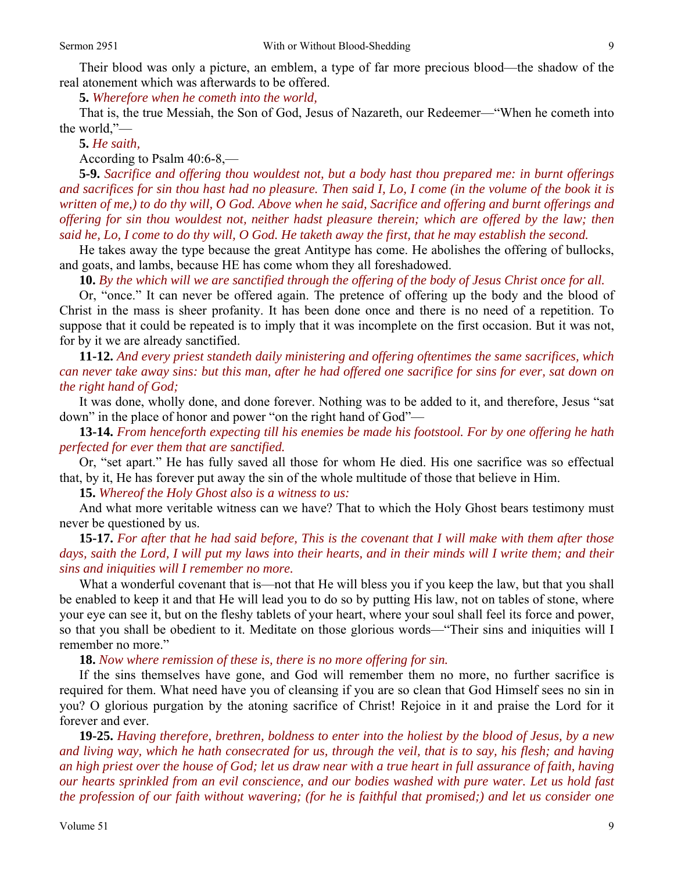Their blood was only a picture, an emblem, a type of far more precious blood—the shadow of the real atonement which was afterwards to be offered.

**5.** *Wherefore when he cometh into the world,* 

That is, the true Messiah, the Son of God, Jesus of Nazareth, our Redeemer—"When he cometh into the world,"—

**5.** *He saith,* 

According to Psalm 40:6-8,—

**5-9.** *Sacrifice and offering thou wouldest not, but a body hast thou prepared me: in burnt offerings and sacrifices for sin thou hast had no pleasure. Then said I, Lo, I come (in the volume of the book it is written of me,) to do thy will, O God. Above when he said, Sacrifice and offering and burnt offerings and offering for sin thou wouldest not, neither hadst pleasure therein; which are offered by the law; then said he, Lo, I come to do thy will, O God. He taketh away the first, that he may establish the second.* 

He takes away the type because the great Antitype has come. He abolishes the offering of bullocks, and goats, and lambs, because HE has come whom they all foreshadowed.

**10.** *By the which will we are sanctified through the offering of the body of Jesus Christ once for all.* 

Or, "once." It can never be offered again. The pretence of offering up the body and the blood of Christ in the mass is sheer profanity. It has been done once and there is no need of a repetition. To suppose that it could be repeated is to imply that it was incomplete on the first occasion. But it was not, for by it we are already sanctified.

**11-12.** *And every priest standeth daily ministering and offering oftentimes the same sacrifices, which can never take away sins: but this man, after he had offered one sacrifice for sins for ever, sat down on the right hand of God;* 

It was done, wholly done, and done forever. Nothing was to be added to it, and therefore, Jesus "sat down" in the place of honor and power "on the right hand of God"—

**13-14.** *From henceforth expecting till his enemies be made his footstool. For by one offering he hath perfected for ever them that are sanctified.* 

Or, "set apart." He has fully saved all those for whom He died. His one sacrifice was so effectual that, by it, He has forever put away the sin of the whole multitude of those that believe in Him.

**15.** *Whereof the Holy Ghost also is a witness to us:* 

And what more veritable witness can we have? That to which the Holy Ghost bears testimony must never be questioned by us.

**15-17.** *For after that he had said before, This is the covenant that I will make with them after those days, saith the Lord, I will put my laws into their hearts, and in their minds will I write them; and their sins and iniquities will I remember no more.* 

What a wonderful covenant that is—not that He will bless you if you keep the law, but that you shall be enabled to keep it and that He will lead you to do so by putting His law, not on tables of stone, where your eye can see it, but on the fleshy tablets of your heart, where your soul shall feel its force and power, so that you shall be obedient to it. Meditate on those glorious words—"Their sins and iniquities will I remember no more."

**18.** *Now where remission of these is, there is no more offering for sin.* 

If the sins themselves have gone, and God will remember them no more, no further sacrifice is required for them. What need have you of cleansing if you are so clean that God Himself sees no sin in you? O glorious purgation by the atoning sacrifice of Christ! Rejoice in it and praise the Lord for it forever and ever.

**19-25.** *Having therefore, brethren, boldness to enter into the holiest by the blood of Jesus, by a new and living way, which he hath consecrated for us, through the veil, that is to say, his flesh; and having an high priest over the house of God; let us draw near with a true heart in full assurance of faith, having our hearts sprinkled from an evil conscience, and our bodies washed with pure water. Let us hold fast the profession of our faith without wavering; (for he is faithful that promised;) and let us consider one*